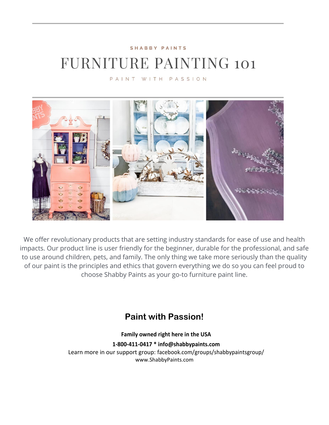#### SHABBY PAINTS

# **FURNITURE PAINTING 101**

PAINT WITH PASSION



We offer revolutionary products that are setting industry standards for ease of use and health impacts. Our product line is user friendly for the beginner, durable for the professional, and safe to use around children, pets, and family. The only thing we take more seriously than the quality of our paint is the principles and ethics that govern everything we do so you can feel proud to choose Shabby Paints as your go-to furniture paint line.

#### **Paint with Passion!**

**Family owned right here in the USA 1-800-411-0417 \* [info@shabbypaints.com](mailto:info@shabbypaints.com)** Learn more in our support group: facebook.com/groups/shabbypaintsgroup/ www.ShabbyPaints.com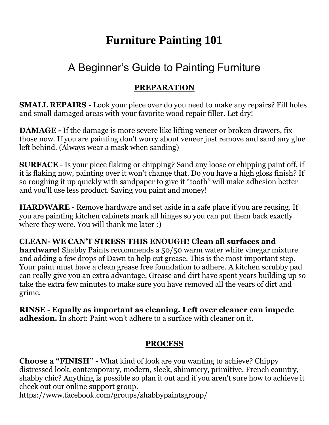## **Furniture Painting 101**

### A Beginner's Guide to Painting Furniture

#### **PREPARATION**

**SMALL REPAIRS** - Look your piece over do you need to make any repairs? Fill holes and small damaged areas with your favorite wood repair filler. Let dry!

**DAMAGE -** If the damage is more severe like lifting veneer or broken drawers, fix those now. If you are painting don't worry about veneer just remove and sand any glue left behind. (Always wear a mask when sanding)

**SURFACE** - Is your piece flaking or chipping? Sand any loose or chipping paint off, if it is flaking now, painting over it won't change that. Do you have a high gloss finish? If so roughing it up quickly with sandpaper to give it "tooth" will make adhesion better and you'll use less product. Saving you paint and money!

**HARDWARE** - Remove hardware and set aside in a safe place if you are reusing. If you are painting kitchen cabinets mark all hinges so you can put them back exactly where they were. You will thank me later :)

**CLEAN- WE CAN'T STRESS THIS ENOUGH! Clean all surfaces and hardware!** Shabby Paints recommends a 50/50 warm water white vinegar mixture and adding a few drops of Dawn to help cut grease. This is the most important step. Your paint must have a clean grease free foundation to adhere. A kitchen scrubby pad can really give you an extra advantage. Grease and dirt have spent years building up so take the extra few minutes to make sure you have removed all the years of dirt and grime.

**RINSE - Equally as important as cleaning. Left over cleaner can impede adhesion.** In short: Paint won't adhere to a surface with cleaner on it.

#### **PROCESS**

**Choose a "FINISH"** - What kind of look are you wanting to achieve? Chippy distressed look, contemporary, modern, sleek, shimmery, primitive, French country, shabby chic? Anything is possible so plan it out and if you aren't sure how to achieve it check out our online support group.

https://www.facebook.com/groups/shabbypaintsgroup/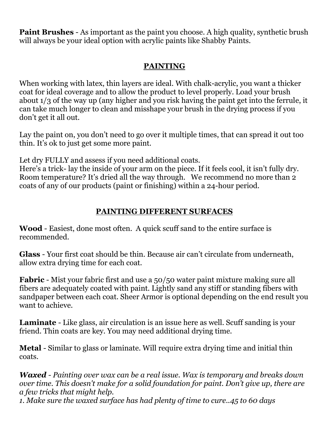**Paint Brushes** - As important as the paint you choose. A high quality, synthetic brush will always be your ideal option with acrylic paints like Shabby Paints.

#### **PAINTING**

When working with latex, thin layers are ideal. With chalk-acrylic, you want a thicker coat for ideal coverage and to allow the product to level properly. Load your brush about 1/3 of the way up (any higher and you risk having the paint get into the ferrule, it can take much longer to clean and misshape your brush in the drying process if you don't get it all out.

Lay the paint on, you don't need to go over it multiple times, that can spread it out too thin. It's ok to just get some more paint.

Let dry FULLY and assess if you need additional coats.

Here's a trick- lay the inside of your arm on the piece. If it feels cool, it isn't fully dry. Room temperature? It's dried all the way through. We recommend no more than 2 coats of any of our products (paint or finishing) within a 24-hour period.

### **PAINTING DIFFERENT SURFACES**

**Wood** - Easiest, done most often. A quick scuff sand to the entire surface is recommended.

**Glass** - Your first coat should be thin. Because air can't circulate from underneath, allow extra drying time for each coat.

**Fabric** - Mist your fabric first and use a 50/50 water paint mixture making sure all fibers are adequately coated with paint. Lightly sand any stiff or standing fibers with sandpaper between each coat. Sheer Armor is optional depending on the end result you want to achieve.

**Laminate** - Like glass, air circulation is an issue here as well. Scuff sanding is your friend. Thin coats are key. You may need additional drying time.

**Metal** - Similar to glass or laminate. Will require extra drying time and initial thin coats.

*Waxed - Painting over wax can be a real issue. Wax is temporary and breaks down over time. This doesn't make for a solid foundation for paint. Don't give up, there are a few tricks that might help.*

*1. Make sure the waxed surface has had plenty of time to cure..45 to 60 days*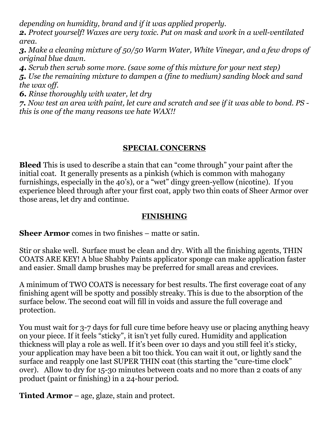*depending on humidity, brand and if it was applied properly.*

*2. Protect yourself! Waxes are very toxic. Put on mask and work in a well-ventilated area.*

*3. Make a cleaning mixture of 50/50 Warm Water, White Vinegar, and a few drops of original blue dawn.*

*4. Scrub then scrub some more. (save some of this mixture for your next step)*

*5. Use the remaining mixture to dampen a (fine to medium) sanding block and sand the wax off.*

*6. Rinse thoroughly with water, let dry*

*7. Now test an area with paint, let cure and scratch and see if it was able to bond. PS this is one of the many reasons we hate WAX!!*

#### **SPECIAL CONCERNS**

**Bleed** This is used to describe a stain that can "come through" your paint after the initial coat. It generally presents as a pinkish (which is common with mahogany furnishings, especially in the 40's), or a "wet" dingy green-yellow (nicotine). If you experience bleed through after your first coat, apply two thin coats of Sheer Armor over those areas, let dry and continue.

#### **FINISHING**

**Sheer Armor** comes in two finishes – matte or satin.

Stir or shake well. Surface must be clean and dry. With all the finishing agents, THIN COATS ARE KEY! A blue Shabby Paints applicator sponge can make application faster and easier. Small damp brushes may be preferred for small areas and crevices.

A minimum of TWO COATS is necessary for best results. The first coverage coat of any finishing agent will be spotty and possibly streaky. This is due to the absorption of the surface below. The second coat will fill in voids and assure the full coverage and protection.

You must wait for 3-7 days for full cure time before heavy use or placing anything heavy on your piece. If it feels "sticky", it isn't yet fully cured. Humidity and application thickness will play a role as well. If it's been over 10 days and you still feel it's sticky, your application may have been a bit too thick. You can wait it out, or lightly sand the surface and reapply one last SUPER THIN coat (this starting the "cure-time clock" over). Allow to dry for 15-30 minutes between coats and no more than 2 coats of any product (paint or finishing) in a 24-hour period.

**Tinted Armor** – age, glaze, stain and protect.